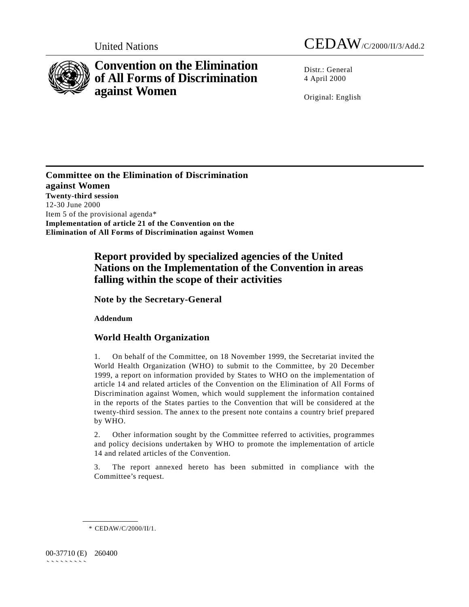



# **Convention on the Elimination of All Forms of Discrimination against Women**

Distr · General 4 April 2000

Original: English

**Committee on the Elimination of Discrimination against Women Twenty-third session** 12-30 June 2000 Item 5 of the provisional agenda\* **Implementation of article 21 of the Convention on the Elimination of All Forms of Discrimination against Women**

## **Report provided by specialized agencies of the United Nations on the Implementation of the Convention in areas falling within the scope of their activities**

**Note by the Secretary-General**

**Addendum**

## **World Health Organization**

1. On behalf of the Committee, on 18 November 1999, the Secretariat invited the World Health Organization (WHO) to submit to the Committee, by 20 December 1999, a report on information provided by States to WHO on the implementation of article 14 and related articles of the Convention on the Elimination of All Forms of Discrimination against Women, which would supplement the information contained in the reports of the States parties to the Convention that will be considered at the twenty-third session. The annex to the present note contains a country brief prepared by WHO.

2. Other information sought by the Committee referred to activities, programmes and policy decisions undertaken by WHO to promote the implementation of article 14 and related articles of the Convention.

3. The report annexed hereto has been submitted in compliance with the Committee's request.

00-37710 (E) 260400 ```````````

<sup>\*</sup> CEDAW/C/2000/II/1.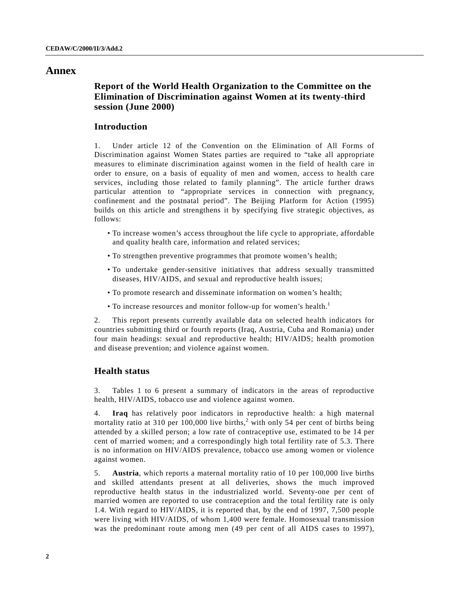### **Annex**

## **Report of the World Health Organization to the Committee on the Elimination of Discrimination against Women at its twenty-third session (June 2000)**

## **Introduction**

1. Under article 12 of the Convention on the Elimination of All Forms of Discrimination against Women States parties are required to "take all appropriate measures to eliminate discrimination against women in the field of health care in order to ensure, on a basis of equality of men and women, access to health care services, including those related to family planning". The article further draws particular attention to "appropriate services in connection with pregnancy, confinement and the postnatal period". The Beijing Platform for Action (1995) builds on this article and strengthens it by specifying five strategic objectives, as follows:

- To increase women's access throughout the life cycle to appropriate, affordable and quality health care, information and related services;
- To strengthen preventive programmes that promote women's health;
- To undertake gender-sensitive initiatives that address sexually transmitted diseases, HIV/AIDS, and sexual and reproductive health issues;
- To promote research and disseminate information on women's health;
- To increase resources and monitor follow-up for women's health.<sup>1</sup>

2. This report presents currently available data on selected health indicators for countries submitting third or fourth reports (Iraq, Austria, Cuba and Romania) under four main headings: sexual and reproductive health; HIV/AIDS; health promotion and disease prevention; and violence against women.

### **Health status**

3. Tables 1 to 6 present a summary of indicators in the areas of reproductive health, HIV/AIDS, tobacco use and violence against women.

4. **Iraq** has relatively poor indicators in reproductive health: a high maternal mortality ratio at 310 per 100,000 live births,<sup>2</sup> with only 54 per cent of births being attended by a skilled person; a low rate of contraceptive use, estimated to be 14 per cent of married women; and a correspondingly high total fertility rate of 5.3. There is no information on HIV/AIDS prevalence, tobacco use among women or violence against women.

5. **Austria**, which reports a maternal mortality ratio of 10 per 100,000 live births and skilled attendants present at all deliveries, shows the much improved reproductive health status in the industrialized world. Seventy-one per cent of married women are reported to use contraception and the total fertility rate is only 1.4. With regard to HIV/AIDS, it is reported that, by the end of 1997, 7,500 people were living with HIV/AIDS, of whom 1,400 were female. Homosexual transmission was the predominant route among men (49 per cent of all AIDS cases to 1997),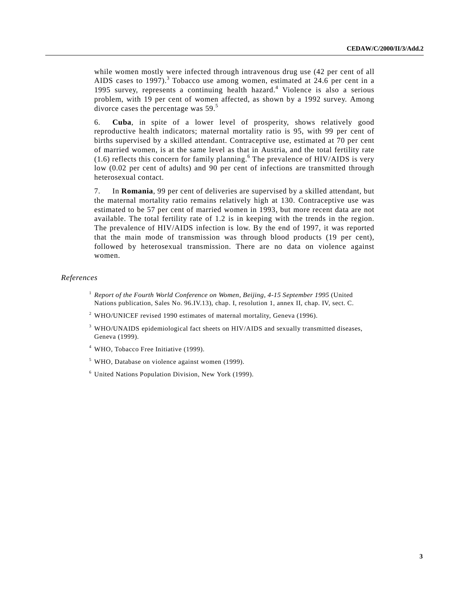while women mostly were infected through intravenous drug use (42 per cent of all AIDS cases to 1997).<sup>3</sup> Tobacco use among women, estimated at 24.6 per cent in a 1995 survey, represents a continuing health hazard.<sup>4</sup> Violence is also a serious problem, with 19 per cent of women affected, as shown by a 1992 survey. Among divorce cases the percentage was 59.<sup>5</sup>

6. **Cuba**, in spite of a lower level of prosperity, shows relatively good reproductive health indicators; maternal mortality ratio is 95, with 99 per cent of births supervised by a skilled attendant. Contraceptive use, estimated at 70 per cent of married women, is at the same level as that in Austria, and the total fertility rate  $(1.6)$  reflects this concern for family planning.<sup>6</sup> The prevalence of HIV/AIDS is very low (0.02 per cent of adults) and 90 per cent of infections are transmitted through heterosexual contact.

7. In **Romania**, 99 per cent of deliveries are supervised by a skilled attendant, but the maternal mortality ratio remains relatively high at 130. Contraceptive use was estimated to be 57 per cent of married women in 1993, but more recent data are not available. The total fertility rate of 1.2 is in keeping with the trends in the region. The prevalence of HIV/AIDS infection is low. By the end of 1997, it was reported that the main mode of transmission was through blood products (19 per cent), followed by heterosexual transmission. There are no data on violence against women.

#### *References*

- <sup>1</sup> *Report of the Fourth World Conference on Women, Beijing, 4-15 September 1995* (United Nations publication, Sales No. 96.IV.13), chap. I, resolution 1, annex II, chap. IV, sect. C.
- $2$  WHO/UNICEF revised 1990 estimates of maternal mortality, Geneva (1996).
- $3$  WHO/UNAIDS epidemiological fact sheets on HIV/AIDS and sexually transmitted diseases, Geneva (1999).
- <sup>4</sup> WHO, Tobacco Free Initiative (1999).

 $<sup>5</sup>$  WHO, Database on violence against women (1999).</sup>

<sup>6</sup> United Nations Population Division, New York (1999).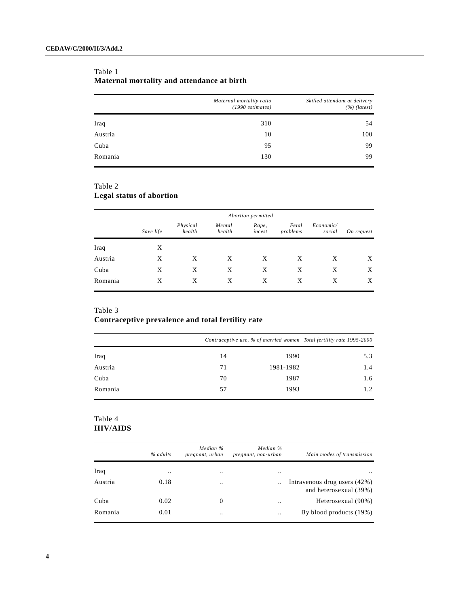| Table 1                                    |  |
|--------------------------------------------|--|
| Maternal mortality and attendance at birth |  |

|         | Maternal mortality ratio<br>$(1990$ estimates) | Skilled attendant at delivery<br>$(%)$ (latest) |  |  |
|---------|------------------------------------------------|-------------------------------------------------|--|--|
| Iraq    | 310                                            | 54                                              |  |  |
| Austria | 10                                             | 100                                             |  |  |
| Cuba    | 95                                             | 99                                              |  |  |
| Romania | 130                                            | 99                                              |  |  |

## Table 2

## **Legal status of abortion**

|         | Abortion permitted |                    |                  |                 |                   |                     |            |  |
|---------|--------------------|--------------------|------------------|-----------------|-------------------|---------------------|------------|--|
|         | Save life          | Physical<br>health | Mental<br>health | Rape,<br>incest | Fetal<br>problems | Economic/<br>social | On request |  |
| Iraq    | X                  |                    |                  |                 |                   |                     |            |  |
| Austria | X                  | X                  | X                | X               | X                 | X                   | X          |  |
| Cuba    | X                  | X                  | X                | X               | X                 | X                   | X          |  |
| Romania | X                  | X                  | X                | Χ               | Χ                 | X                   | X          |  |

#### Table 3

## **Contraceptive prevalence and total fertility rate**

|         |    |           | Contraceptive use, % of married women Total fertility rate 1995-2000 |  |  |
|---------|----|-----------|----------------------------------------------------------------------|--|--|
| Iraq    | 14 | 1990      | 5.3                                                                  |  |  |
| Austria | 71 | 1981-1982 | 1.4                                                                  |  |  |
| Cuba    | 70 | 1987      | 1.6                                                                  |  |  |
| Romania | 57 | 1993      | 1.2                                                                  |  |  |

### Table 4 **HIV/AIDS**

|         | % adults      | Median %<br>pregnant, urban | Median %<br>pregnant, non-urban | Main modes of transmission                               |
|---------|---------------|-----------------------------|---------------------------------|----------------------------------------------------------|
| Iraq    | $\cdot \cdot$ |                             |                                 | $\cdot \cdot$                                            |
| Austria | 0.18          |                             |                                 | Intravenous drug users $(42%)$<br>and heterosexual (39%) |
| Cuba    | 0.02          | 0                           | $\cdot$ .                       | Heterosexual (90%)                                       |
| Romania | 0.01          |                             |                                 | By blood products (19%)                                  |